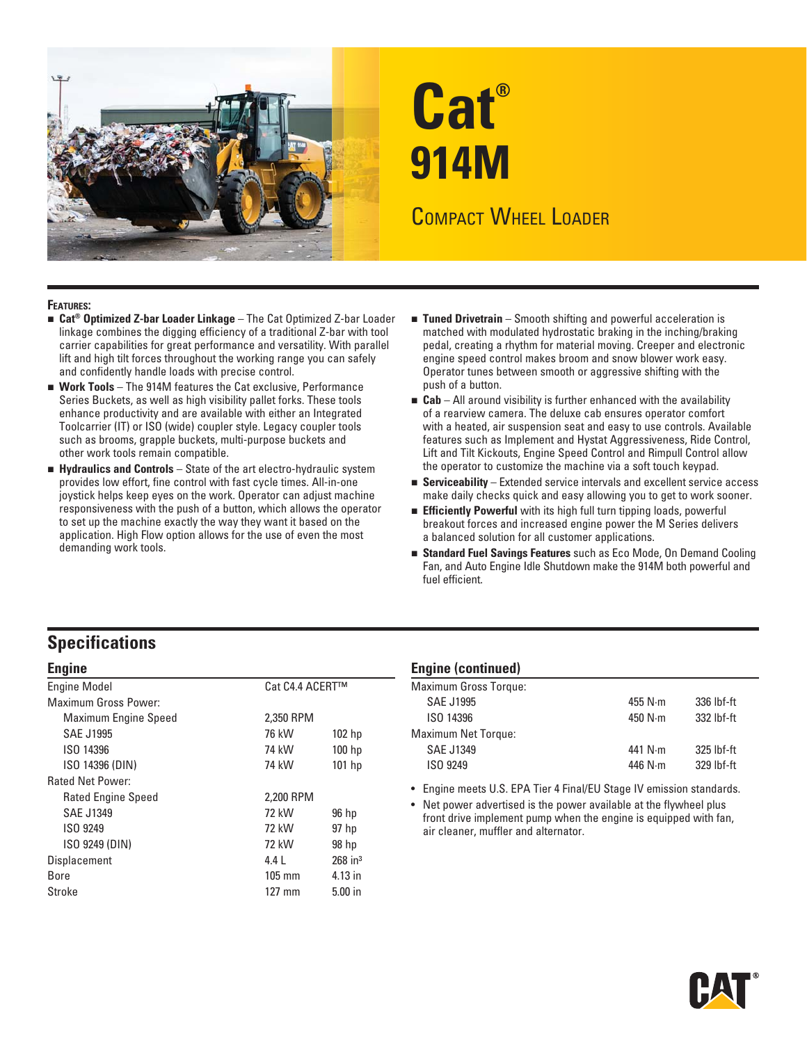

# **Cat® 914M**

## COMPACT WHEEL LOADER

#### **FEATURES:**

- **Cat® Optimized Z-bar Loader Linkage** The Cat Optimized Z-bar Loader linkage combines the digging efficiency of a traditional Z-bar with tool carrier capabilities for great performance and versatility. With parallel lift and high tilt forces throughout the working range you can safely and confidently handle loads with precise control.
- **Work Tools** The 914M features the Cat exclusive, Performance Series Buckets, as well as high visibility pallet forks. These tools enhance productivity and are available with either an Integrated Toolcarrier (IT) or ISO (wide) coupler style. Legacy coupler tools such as brooms, grapple buckets, multi-purpose buckets and other work tools remain compatible.
- **Hydraulics and Controls**  State of the art electro-hydraulic system provides low effort, fine control with fast cycle times. All-in-one joystick helps keep eyes on the work. Operator can adjust machine responsiveness with the push of a button, which allows the operator to set up the machine exactly the way they want it based on the application. High Flow option allows for the use of even the most demanding work tools.
- **Tuned Drivetrain**  Smooth shifting and powerful acceleration is matched with modulated hydrostatic braking in the inching/braking pedal, creating a rhythm for material moving. Creeper and electronic engine speed control makes broom and snow blower work easy. Operator tunes between smooth or aggressive shifting with the push of a button.
- **Cab**  All around visibility is further enhanced with the availability of a rearview camera. The deluxe cab ensures operator comfort with a heated, air suspension seat and easy to use controls. Available features such as Implement and Hystat Aggressiveness, Ride Control, Lift and Tilt Kickouts, Engine Speed Control and Rimpull Control allow the operator to customize the machine via a soft touch keypad.
- **Serviceability**  Extended service intervals and excellent service access make daily checks quick and easy allowing you to get to work sooner.
- **Efficiently Powerful** with its high full turn tipping loads, powerful breakout forces and increased engine power the M Series delivers a balanced solution for all customer applications.
- **Standard Fuel Savings Features** such as Eco Mode, On Demand Cooling Fan, and Auto Engine Idle Shutdown make the 914M both powerful and fuel efficient.

### **Specifications**

|  | ×<br>۰. |  |
|--|---------|--|
|  |         |  |

| <b>Engine Model</b>         | Cat C4.4 ACERT™  |                       |
|-----------------------------|------------------|-----------------------|
| <b>Maximum Gross Power:</b> |                  |                       |
| Maximum Engine Speed        | 2,350 RPM        |                       |
| <b>SAE J1995</b>            | 76 kW            | 102 <sub>hp</sub>     |
| ISO 14396                   | 74 kW            | 100 <sub>hp</sub>     |
| ISO 14396 (DIN)             | 74 kW            | $101$ hp              |
| <b>Rated Net Power:</b>     |                  |                       |
| <b>Rated Engine Speed</b>   | 2,200 RPM        |                       |
| <b>SAE J1349</b>            | 72 kW            | 96 hp                 |
| ISO 9249                    | 72 kW            | 97 <sub>hp</sub>      |
| ISO 9249 (DIN)              | 72 kW            | 98 hp                 |
| Displacement                | 4.4 L            | $268$ in <sup>3</sup> |
| Bore                        | $105 \text{ mm}$ | 4.13 in               |
| Stroke                      | $127 \text{ mm}$ | $5.00$ in             |
|                             |                  |                       |

#### **Engine (continued)**

| <b>Maximum Gross Torque:</b> |                 |            |
|------------------------------|-----------------|------------|
| <b>SAE J1995</b>             | 455 $N \cdot m$ | 336 lbf-ft |
| ISO 14396                    | 450 $N \cdot m$ | 332 lbf-ft |
| <b>Maximum Net Torque:</b>   |                 |            |
| <b>SAE J1349</b>             | 441 $N \cdot m$ | 325 lbf-ft |
| ISO 9249                     | 446 $N \cdot m$ | 329 lbf-ft |
|                              |                 |            |

• Engine meets U.S. EPA Tier 4 Final/EU Stage IV emission standards.

• Net power advertised is the power available at the flywheel plus front drive implement pump when the engine is equipped with fan, air cleaner, muffler and alternator.

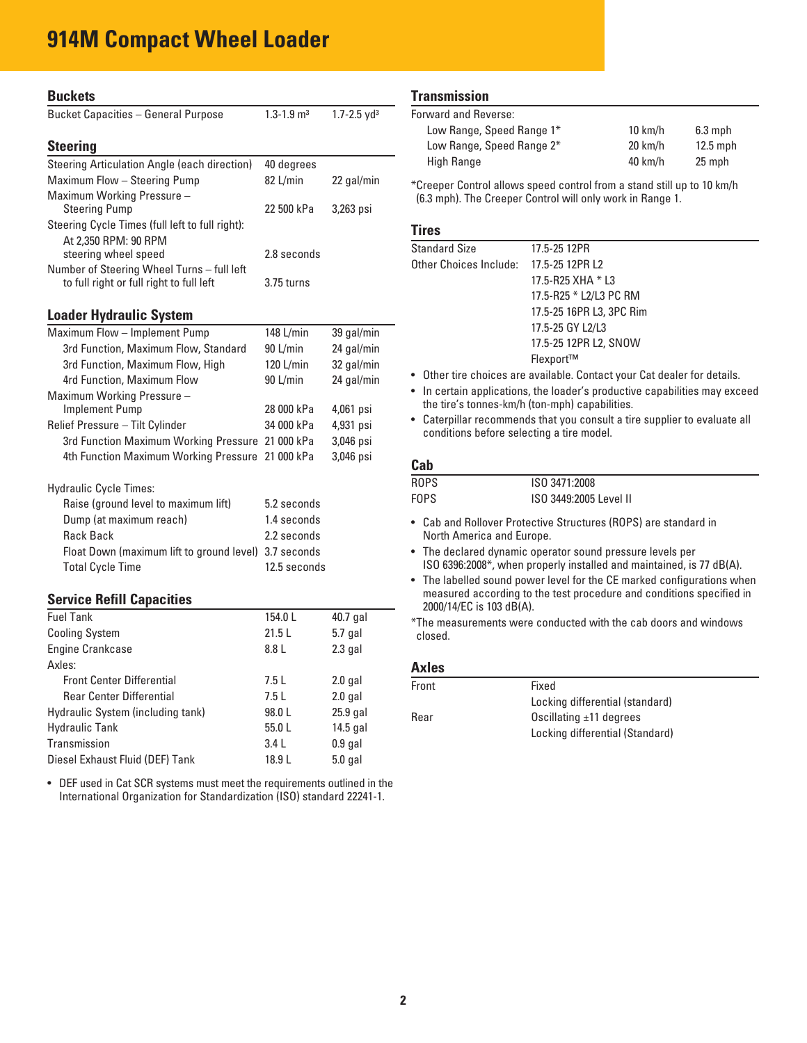## **914M Compact Wheel Loader**

| <b>Buckets</b>                                                                         |                            |                             |
|----------------------------------------------------------------------------------------|----------------------------|-----------------------------|
| <b>Bucket Capacities - General Purpose</b>                                             | $1.3 - 1.9$ m <sup>3</sup> | $1.7 - 2.5$ yd <sup>3</sup> |
|                                                                                        |                            |                             |
| <b>Steering</b>                                                                        |                            |                             |
| Steering Articulation Angle (each direction)                                           | 40 degrees                 |                             |
| Maximum Flow - Steering Pump                                                           | 82 L/min                   | 22 gal/min                  |
| Maximum Working Pressure -                                                             |                            |                             |
| <b>Steering Pump</b>                                                                   | 22 500 kPa                 | 3,263 psi                   |
| Steering Cycle Times (full left to full right):                                        |                            |                             |
| At 2.350 RPM: 90 RPM                                                                   |                            |                             |
| steering wheel speed                                                                   | 2.8 seconds                |                             |
| Number of Steering Wheel Turns - full left<br>to full right or full right to full left | 3.75 turns                 |                             |
|                                                                                        |                            |                             |
| Loader Hydraulic System                                                                |                            |                             |
| Maximum Flow - Implement Pump                                                          | 148 L/min                  | 39 gal/min                  |
| 3rd Function, Maximum Flow, Standard                                                   | 90 L/min                   | 24 gal/min                  |
| 3rd Function, Maximum Flow, High                                                       | 120 L/min                  | 32 gal/min                  |
| 4rd Function, Maximum Flow                                                             | 90 L/min                   | 24 gal/min                  |
| Maximum Working Pressure -                                                             |                            |                             |
| <b>Implement Pump</b>                                                                  | 28 000 kPa                 | 4,061 psi                   |
| Relief Pressure - Tilt Cylinder                                                        | 34 000 kPa                 | 4,931 psi                   |
| 3rd Function Maximum Working Pressure 21 000 kPa                                       |                            | 3,046 psi                   |
| 4th Function Maximum Working Pressure                                                  | 21 000 kPa                 | 3,046 psi                   |
|                                                                                        |                            |                             |
| <b>Hydraulic Cycle Times:</b>                                                          |                            |                             |
| Raise (ground level to maximum lift)                                                   | 5.2 seconds                |                             |
| Dump (at maximum reach)                                                                | 1.4 seconds                |                             |
| <b>Rack Back</b>                                                                       | 2.2 seconds                |                             |
| Float Down (maximum lift to ground level)                                              | 3.7 seconds                |                             |
| <b>Total Cycle Time</b>                                                                | 12.5 seconds               |                             |
|                                                                                        |                            |                             |

#### **Service Refill Capacities**

| <b>Fuel Tank</b>                  | 154.0L | 40.7 gal   |
|-----------------------------------|--------|------------|
| <b>Cooling System</b>             | 21.5L  | $5.7$ gal  |
| <b>Engine Crankcase</b>           | 8.8 L  | $2.3$ gal  |
| Axles:                            |        |            |
| <b>Front Center Differential</b>  | 7.5L   | $2.0$ gal  |
| <b>Rear Center Differential</b>   | 7.5L   | $2.0$ gal  |
| Hydraulic System (including tank) | 98.0 L | 25.9 gal   |
| <b>Hydraulic Tank</b>             | 55.0 L | $14.5$ gal |
| Transmission                      | 3.4L   | $0.9$ gal  |
| Diesel Exhaust Fluid (DEF) Tank   | 18.9 L | $5.0$ gal  |

 • DEF used in Cat SCR systems must meet the requirements outlined in the International Organization for Standardization (ISO) standard 22241-1.

#### **Transmission**

| Forward and Reverse:      |                   |            |
|---------------------------|-------------------|------------|
| Low Range, Speed Range 1* | $10 \text{ km/h}$ | $6.3$ mph  |
| Low Range, Speed Range 2* | $20 \text{ km/h}$ | $12.5$ mph |
| High Range                | $40 \text{ km/h}$ | 25 mph     |

\*Creeper Control allows speed control from a stand still up to 10 km/h (6.3 mph). The Creeper Control will only work in Range 1.

#### **Tires**

| <b>Standard Size</b>   | 17.5-25 12PR             |
|------------------------|--------------------------|
| Other Choices Include: | 17.5-25 12PR L2          |
|                        | 17.5-R25 XHA * L3        |
|                        | 17.5-R25 * L2/L3 PC RM   |
|                        | 17.5-25 16PR L3, 3PC Rim |
|                        | 17.5-25 GY L2/L3         |
|                        | 17.5-25 12PR L2, SNOW    |
|                        | Flexport™                |

• Other tire choices are available. Contact your Cat dealer for details.

• In certain applications, the loader's productive capabilities may exceed the tire's tonnes-km/h (ton-mph) capabilities.

• Caterpillar recommends that you consult a tire supplier to evaluate all conditions before selecting a tire model.

#### **Cab**

| ROPS | ISO 3471:2008          |
|------|------------------------|
| FOPS | ISO 3449:2005 Level II |

- Cab and Rollover Protective Structures (ROPS) are standard in North America and Europe.
- The declared dynamic operator sound pressure levels per ISO 6396:2008\*, when properly installed and maintained, is 77 dB(A).
- The labelled sound power level for the CE marked configurations when measured according to the test procedure and conditions specified in 2000/14/EC is 103 dB(A).
- \*The measurements were conducted with the cab doors and windows closed.

#### **Axles**

| Front | Fixed                           |
|-------|---------------------------------|
|       | Locking differential (standard) |
| Rear  | Oscillating $\pm$ 11 degrees    |
|       | Locking differential (Standard) |
|       |                                 |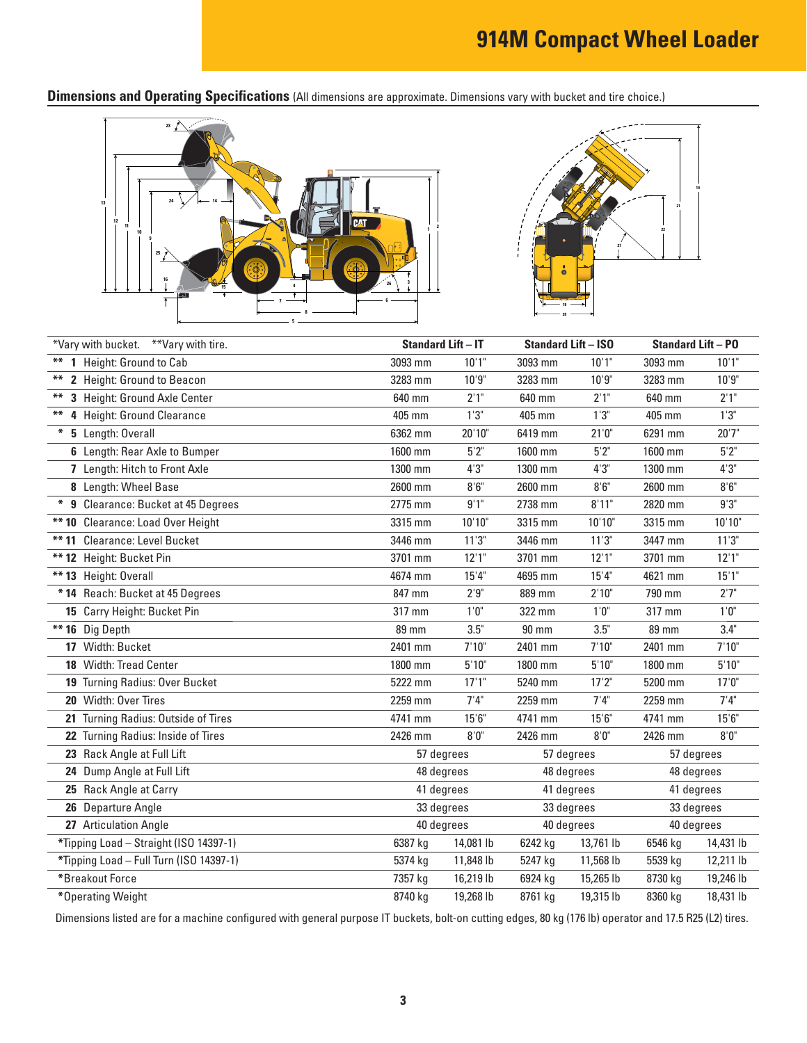**Dimensions and Operating Specifications** (All dimensions are approximate. Dimensions vary with bucket and tire choice.)





|        | *Vary with bucket. **Vary with tire.    | <b>Standard Lift - IT</b> |           | <b>Standard Lift - ISO</b> |                       | <b>Standard Lift - PO</b> |           |
|--------|-----------------------------------------|---------------------------|-----------|----------------------------|-----------------------|---------------------------|-----------|
|        | ** 1 Height: Ground to Cab              | 3093 mm                   | 10'1"     | 3093 mm                    | 10'1"                 | 3093 mm                   | 10'1"     |
| **     | 2 Height: Ground to Beacon              | 3283 mm                   | 10'9''    | 3283 mm                    | 10'9''                | 3283 mm                   | 10'9"     |
|        | 3 Height: Ground Axle Center            | 640 mm                    | 2'1"      | 640 mm                     | 2'1"                  | 640 mm                    | 2'1''     |
| **     | 4 Height: Ground Clearance              | 405 mm                    | 1'3''     | 405 mm                     | 1'3''                 | 405 mm                    | 1'3''     |
| $\ast$ | 5 Length: Overall                       | 6362 mm                   | 20'10"    | 6419 mm                    | $21^{\circ}0^{\circ}$ | 6291 mm                   | 20'7''    |
|        | 6 Length: Rear Axle to Bumper           | 1600 mm                   | 5'2''     | 1600 mm                    | $5'2"$                | 1600 mm                   | 5'2''     |
|        | 7 Length: Hitch to Front Axle           | 1300 mm                   | 4'3''     | 1300 mm                    | 4'3''                 | 1300 mm                   | 4'3''     |
|        | 8 Length: Wheel Base                    | 2600 mm                   | 8'6''     | 2600 mm                    | 8'6''                 | 2600 mm                   | $8'6''$   |
|        | * 9 Clearance: Bucket at 45 Degrees     | 2775 mm                   | 9'1''     | 2738 mm                    | 8'11"                 | 2820 mm                   | 9'3''     |
|        | ** 10 Clearance: Load Over Height       | 3315 mm                   | 10'10"    | 3315 mm                    | 10'10"                | 3315 mm                   | 10'10"    |
|        | ** 11 Clearance: Level Bucket           | 3446 mm                   | 11'3''    | 3446 mm                    | 11'3''                | 3447 mm                   | 11'3''    |
|        | ** 12 Height: Bucket Pin                | 3701 mm                   | 12'1''    | 3701 mm                    | 12'1"                 | 3701 mm                   | 12'1''    |
|        | ** 13 Height: Overall                   | 4674 mm                   | 15'4''    | 4695 mm                    | 15'4"                 | 4621 mm                   | 15'1''    |
|        | * 14 Reach: Bucket at 45 Degrees        | 847 mm                    | 2'9''     | 889 mm                     | 2'10"                 | 790 mm                    | 2'7"      |
|        | 15 Carry Height: Bucket Pin             | 317 mm                    | $1'0''$   | 322 mm                     | $1'0"$                | 317 mm                    | $1'0''$   |
|        | ** 16 Dig Depth                         | <b>89 mm</b>              | 3.5"      | $90 \text{ mm}$            | 3.5"                  | 89 mm                     | 3.4"      |
|        | 17 Width: Bucket                        | 2401 mm                   | 7'10"     | 2401 mm                    | 7'10''                | 2401 mm                   | 7'10"     |
|        | 18 Width: Tread Center                  | 1800 mm                   | 5'10''    | 1800 mm                    | 5'10''                | 1800 mm                   | 5'10''    |
|        | 19 Turning Radius: Over Bucket          | 5222 mm                   | 17'1''    | 5240 mm                    | 17'2"                 | 5200 mm                   | 17'0''    |
|        | 20 Width: Over Tires                    | 2259 mm                   | 7'4''     | 2259 mm                    | 7'4''                 | 2259 mm                   | 7'4''     |
|        | 21 Turning Radius: Outside of Tires     | 4741 mm                   | 15'6''    | 4741 mm                    | 15'6''                | 4741 mm                   | 15'6''    |
|        | 22 Turning Radius: Inside of Tires      | 2426 mm                   | 8'0''     | 2426 mm                    | 8'0''                 | 2426 mm                   | 8'0''     |
|        | 23 Rack Angle at Full Lift              | 57 degrees                |           | 57 degrees                 |                       | 57 degrees                |           |
|        | 24 Dump Angle at Full Lift              | 48 degrees                |           | 48 degrees                 |                       | 48 degrees                |           |
|        | 25 Rack Angle at Carry                  | 41 degrees                |           | 41 degrees                 |                       | 41 degrees                |           |
|        | 26 Departure Angle                      | 33 degrees                |           | 33 degrees                 |                       | 33 degrees                |           |
|        | 27 Articulation Angle                   | 40 degrees                |           | 40 degrees                 |                       | 40 degrees                |           |
|        | *Tipping Load - Straight (ISO 14397-1)  | 6387 kg                   | 14,081 lb | 6242 kg                    | 13,761 lb             | 6546 kg                   | 14,431 lb |
|        | *Tipping Load - Full Turn (ISO 14397-1) | 5374 kg                   | 11,848 lb | 5247 kg                    | 11,568 lb             | 5539 kg                   | 12,211 lb |
|        | *Breakout Force                         | 7357 kg                   | 16,219 lb | 6924 kg                    | 15,265 lb             | 8730 kg                   | 19,246 lb |
|        | *Operating Weight                       | 8740 kg                   | 19,268 lb | 8761 kg                    | 19,315 lb             | 8360 kg                   | 18,431 lb |

Dimensions listed are for a machine configured with general purpose IT buckets, bolt-on cutting edges, 80 kg (176 lb) operator and 17.5 R25 (L2) tires.